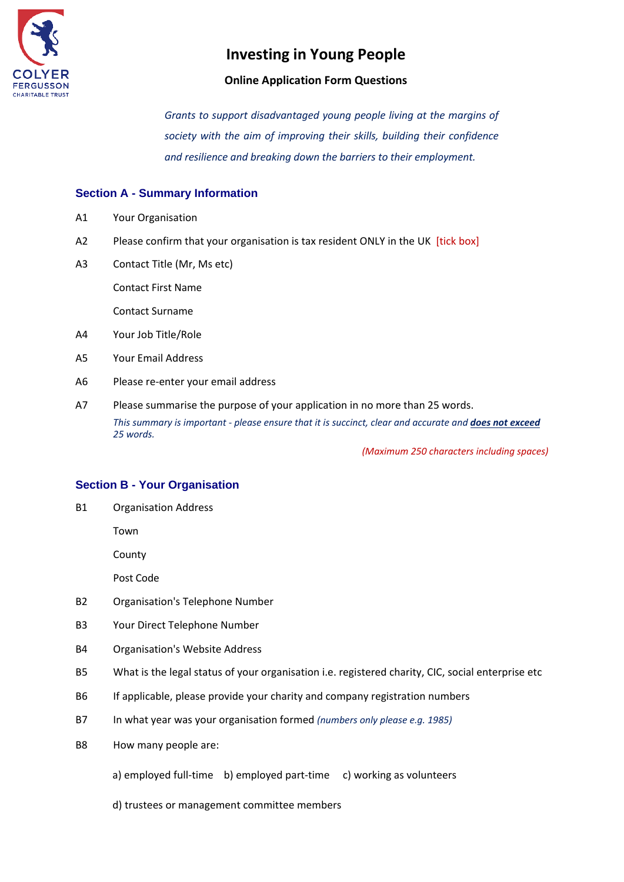

### **Online Application Form Questions**

*Grants to support disadvantaged young people living at the margins of society with the aim of improving their skills, building their confidence and resilience and breaking down the barriers to their employment.*

## **Section A - Summary Information**

- A1 Your Organisation
- A2 Please confirm that your organisation is tax resident ONLY in the UK [tick box]
- A3 Contact Title (Mr, Ms etc)

Contact First Name

Contact Surname

- A4 Your Job Title/Role
- A5 Your Email Address
- A6 Please re-enter your email address
- A7 Please summarise the purpose of your application in no more than 25 words. *This summary is important - please ensure that it is succinct, clear and accurate and does not exceed 25 words.*

*(Maximum 250 characters including spaces)*

### **Section B - Your Organisation**

B1 Organisation Address

Town

County

Post Code

- B2 Organisation's Telephone Number
- B3 Your Direct Telephone Number
- B4 Organisation's Website Address
- B5 What is the legal status of your organisation i.e. registered charity, CIC, social enterprise etc
- B6 If applicable, please provide your charity and company registration numbers
- B7 In what year was your organisation formed *(numbers only please e.g. 1985)*
- B8 How many people are:
	- a) employed full-time b) employed part-time c) working as volunteers
	- d) trustees or management committee members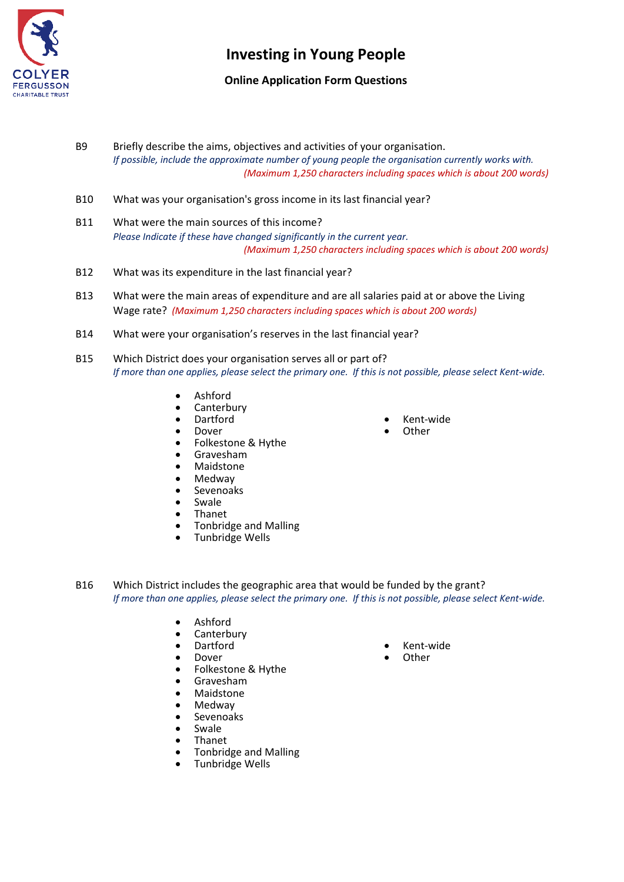

## **Online Application Form Questions**

- B9 Briefly describe the aims, objectives and activities of your organisation. *If possible, include the approximate number of young people the organisation currently works with. (Maximum 1,250 characters including spaces which is about 200 words)*
- B10 What was your organisation's gross income in its last financial year?
- B11 What were the main sources of this income? *Please Indicate if these have changed significantly in the current year. (Maximum 1,250 characters including spaces which is about 200 words)*
- B12 What was its expenditure in the last financial year?
- B13 What were the main areas of expenditure and are all salaries paid at or above the Living Wage rate? *(Maximum 1,250 characters including spaces which is about 200 words)*
- B14 What were your organisation's reserves in the last financial year?
- B15 Which District does your organisation serves all or part of? *If more than one applies, please select the primary one. If this is not possible, please select Kent-wide.*
	- Ashford
	- Canterbury
	- Dartford
	- Dover
	- Folkestone & Hythe
	- Gravesham
	- Maidstone
	- Medway
	- Sevenoaks
	- **Swale**
	- Thanet
	- Tonbridge and Malling
	- Tunbridge Wells
- Kent-wide
- **Other**

- B16 Which District includes the geographic area that would be funded by the grant? *If more than one applies, please select the primary one. If this is not possible, please select Kent-wide.*
	- Ashford
	- Canterbury<br>• Dartford
	- Dartford
	- Dover<br>• Folkes
	- Folkestone & Hythe
	- Gravesham
	- Maidstone
	- Medway
	- Sevenoaks
	- Swale
	- Thanet
	- Tonbridge and Malling
	- Tunbridge Wells
- Kent-wide
- **Other**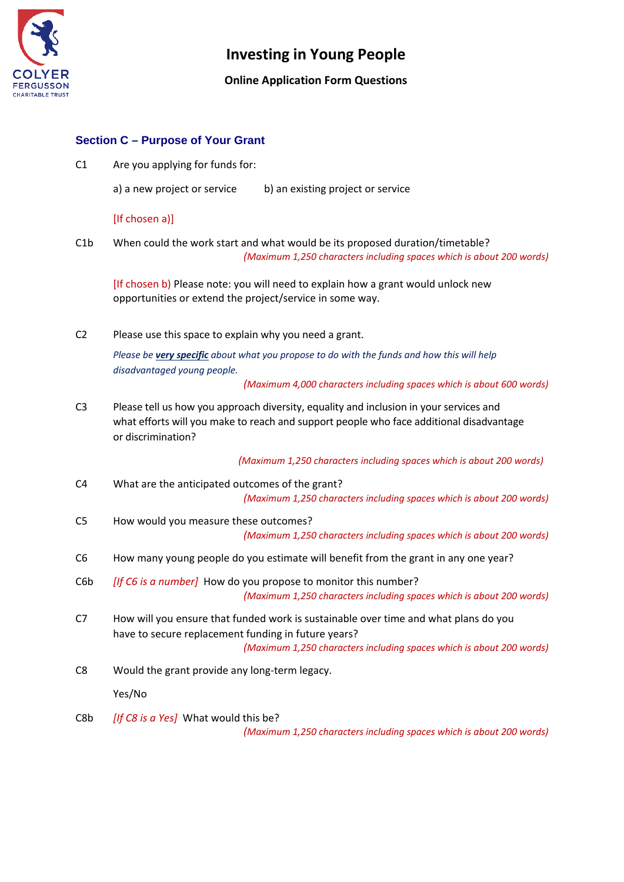

### **Online Application Form Questions**

#### **Section C – Purpose of Your Grant**

C1 Are you applying for funds for:

a) a new project or service b) an existing project or service

#### [If chosen a)]

C1b When could the work start and what would be its proposed duration/timetable? *(Maximum 1,250 characters including spaces which is about 200 words)*

[If chosen b] Please note: you will need to explain how a grant would unlock new opportunities or extend the project/service in some way.

C2 Please use this space to explain why you need a grant.

*Please be very specific about what you propose to do with the funds and how this will help disadvantaged young people.*

*(Maximum 4,000 characters including spaces which is about 600 words)*

C3 Please tell us how you approach diversity, equality and inclusion in your services and what efforts will you make to reach and support people who face additional disadvantage or discrimination?

 *(Maximum 1,250 characters including spaces which is about 200 words)*

- C4 What are the anticipated outcomes of the grant? *(Maximum 1,250 characters including spaces which is about 200 words)*
- C5 How would you measure these outcomes? *(Maximum 1,250 characters including spaces which is about 200 words)*
- C6 How many young people do you estimate will benefit from the grant in any one year?
- C6b *[If C6 is a number]* How do you propose to monitor this number? *(Maximum 1,250 characters including spaces which is about 200 words)*
- C7 How will you ensure that funded work is sustainable over time and what plans do you have to secure replacement funding in future years? *(Maximum 1,250 characters including spaces which is about 200 words)*
- C8 Would the grant provide any long-term legacy.

Yes/No

C8b *[If C8 is a Yes]* What would this be?

*(Maximum 1,250 characters including spaces which is about 200 words)*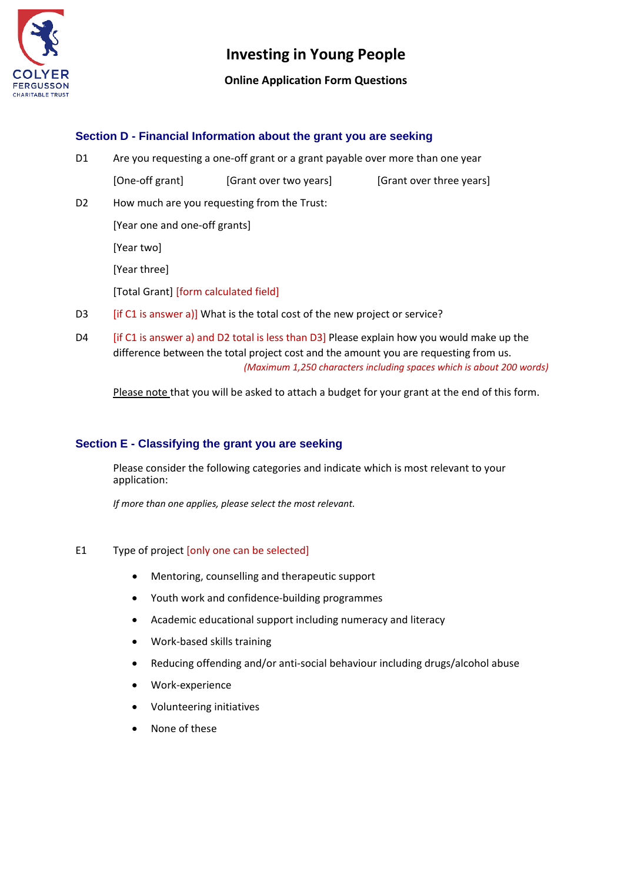

### **Online Application Form Questions**

### **Section D - Financial Information about the grant you are seeking**

D1 Are you requesting a one-off grant or a grant payable over more than one year

[One-off grant] [Grant over two years] [Grant over three years]

D2 How much are you requesting from the Trust:

[Year one and one-off grants]

[Year two]

[Year three]

[Total Grant] [form calculated field]

- D3 [if C1 is answer a)] What is the total cost of the new project or service?
- D4 [if C1 is answer a) and D2 total is less than D3] Please explain how you would make up the difference between the total project cost and the amount you are requesting from us. *(Maximum 1,250 characters including spaces which is about 200 words)*

Please note that you will be asked to attach a budget for your grant at the end of this form.

## **Section E - Classifying the grant you are seeking**

Please consider the following categories and indicate which is most relevant to your application:

*If more than one applies, please select the most relevant.*

#### E1 Type of project [only one can be selected]

- Mentoring, counselling and therapeutic support
- Youth work and confidence-building programmes
- Academic educational support including numeracy and literacy
- Work-based skills training
- Reducing offending and/or anti-social behaviour including drugs/alcohol abuse
- Work-experience
- Volunteering initiatives
- None of these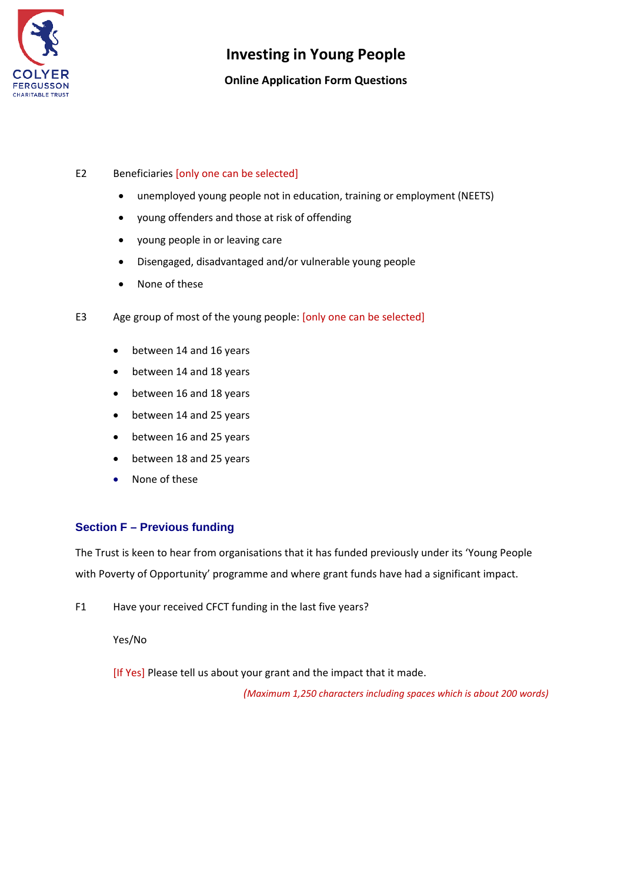

## **Online Application Form Questions**

#### E2 Beneficiaries [only one can be selected]

- unemployed young people not in education, training or employment (NEETS)
- young offenders and those at risk of offending
- young people in or leaving care
- Disengaged, disadvantaged and/or vulnerable young people
- None of these
- E3 Age group of most of the young people: [only one can be selected]
	- between 14 and 16 years
	- between 14 and 18 years
	- between 16 and 18 years
	- between 14 and 25 years
	- between 16 and 25 years
	- between 18 and 25 years
	- None of these

### **Section F – Previous funding**

The Trust is keen to hear from organisations that it has funded previously under its 'Young People with Poverty of Opportunity' programme and where grant funds have had a significant impact.

F1 Have your received CFCT funding in the last five years?

Yes/No

[If Yes] Please tell us about your grant and the impact that it made.

*(Maximum 1,250 characters including spaces which is about 200 words)*